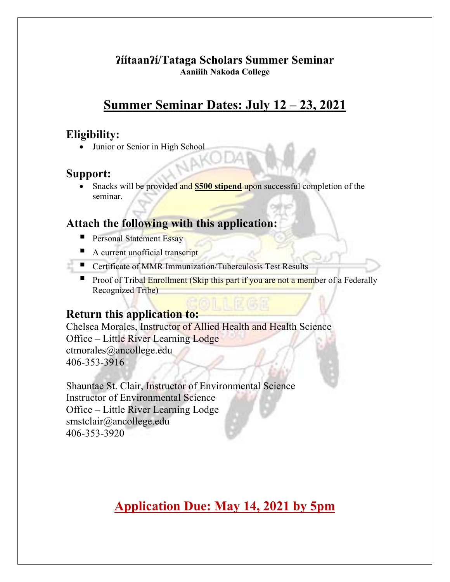#### **ʔíítaanʔí/Tataga Scholars Summer Seminar Aaniiih Nakoda College**

# **Summer Seminar Dates: July 12 – 23, 2021**

## **Eligibility:**

Junior or Senior in High School

## **Support:**

• Snacks will be provided and **\$500 stipend** upon successful completion of the seminar.

# **Attach the following with this application:**

- **Personal Statement Essay**
- A current unofficial transcript
- Certificate of MMR Immunization/Tuberculosis Test Results
	- **Proof of Tribal Enrollment (Skip this part if you are not a member of a Federally** Recognized Tribe)

### **Return this application to:**

Chelsea Morales, Instructor of Allied Health and Health Science Office – Little River Learning Lodge ctmorales@ancollege.edu 406-353-3916

Shauntae St. Clair, Instructor of Environmental Science Instructor of Environmental Science Office – Little River Learning Lodge smstclair@ancollege.edu 406-353-3920

# **Application Due: May 14, 2021 by 5pm**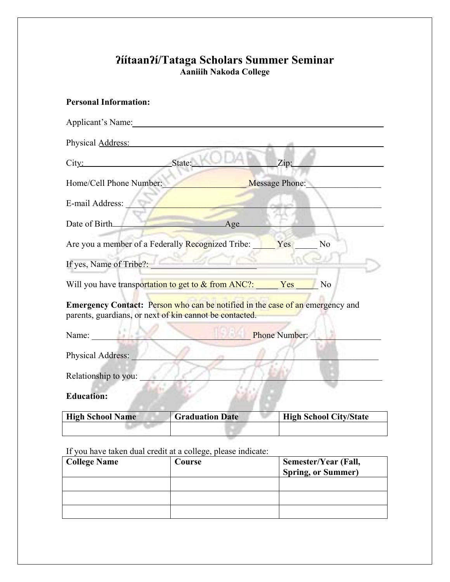# **ʔíítaanʔí/Tataga Scholars Summer Seminar Aaniiih Nakoda College**

| <b>Personal Information:</b>                                                                                                                    |
|-------------------------------------------------------------------------------------------------------------------------------------------------|
| Applicant's Name:                                                                                                                               |
| Physical Address:                                                                                                                               |
| State:<br>Zip:<br>City:                                                                                                                         |
| Home/Cell Phone Number:<br><b>Message Phone:</b>                                                                                                |
| E-mail Address:                                                                                                                                 |
| Date of Birth_<br>Age                                                                                                                           |
| No<br>Are you a member of a Federally Recognized Tribe:<br>Yes                                                                                  |
| If yes, Name of Tribe?:                                                                                                                         |
| Will you have transportation to get to & from ANC?:<br>Yes<br>No                                                                                |
| <b>Emergency Contact:</b> Person who can be notified in the case of an emergency and<br>parents, guardians, or next of kin cannot be contacted. |
| <b>Phone Number:</b><br>Name:<br>Ad Ar                                                                                                          |
| Physical Address:                                                                                                                               |
| Relationship to you:                                                                                                                            |
| <b>Education:</b>                                                                                                                               |

**High School Name Graduation Date High School City/State** 

If you have taken dual credit at a college, please indicate:

| <b>College Name</b> | Course | Semester/Year (Fall,<br><b>Spring, or Summer)</b> |
|---------------------|--------|---------------------------------------------------|
|                     |        |                                                   |
|                     |        |                                                   |
|                     |        |                                                   |